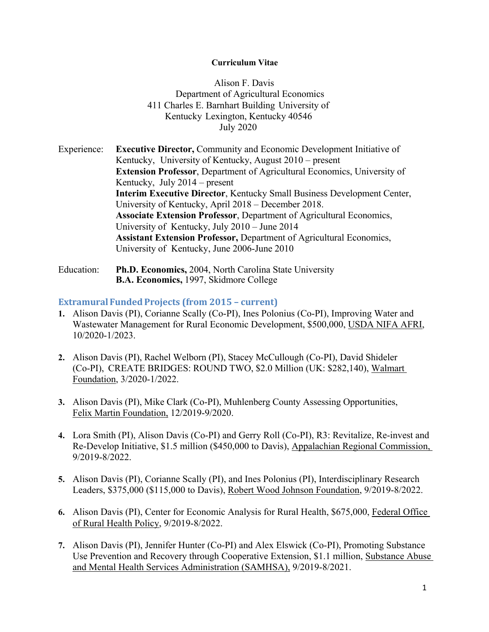#### **Curriculum Vitae**

Alison F. Davis Department of Agricultural Economics 411 Charles E. Barnhart Building University of Kentucky Lexington, Kentucky 40546 July 2020

Experience: **Executive Director,** Community and Economic Development Initiative of Kentucky, University of Kentucky, August 2010 – present **Extension Professor**, Department of Agricultural Economics, University of Kentucky, July 2014 – present **Interim Executive Director**, Kentucky Small Business Development Center, University of Kentucky, April 2018 – December 2018. **Associate Extension Professor**, Department of Agricultural Economics, University of Kentucky, July 2010 – June 2014 **Assistant Extension Professor,** Department of Agricultural Economics, University of Kentucky, June 2006-June 2010

Education: **Ph.D. Economics,** 2004, North Carolina State University **B.A. Economics,** 1997, Skidmore College

### **Extramural FundedProjects (from 2015 – current)**

- **1.** Alison Davis (PI), Corianne Scally (Co-PI), Ines Polonius (Co-PI), Improving Water and Wastewater Management for Rural Economic Development, \$500,000, USDA NIFA AFRI, 10/2020-1/2023.
- **2.** Alison Davis (PI), Rachel Welborn (PI), Stacey McCullough (Co-PI), David Shideler (Co-PI), CREATE BRIDGES: ROUND TWO, \$2.0 Million (UK: \$282,140), Walmart Foundation, 3/2020-1/2022.
- **3.** Alison Davis (PI), Mike Clark (Co-PI), Muhlenberg County Assessing Opportunities, Felix Martin Foundation, 12/2019-9/2020.
- **4.** Lora Smith (PI), Alison Davis (Co-PI) and Gerry Roll (Co-PI), R3: Revitalize, Re-invest and Re-Develop Initiative, \$1.5 million (\$450,000 to Davis), Appalachian Regional Commission, 9/2019-8/2022.
- **5.** Alison Davis (PI), Corianne Scally (PI), and Ines Polonius (PI), Interdisciplinary Research Leaders, \$375,000 (\$115,000 to Davis), Robert Wood Johnson Foundation, 9/2019-8/2022.
- **6.** Alison Davis (PI), Center for Economic Analysis for Rural Health, \$675,000, Federal Office of Rural Health Policy, 9/2019-8/2022.
- **7.** Alison Davis (PI), Jennifer Hunter (Co-PI) and Alex Elswick (Co-PI), Promoting Substance Use Prevention and Recovery through Cooperative Extension, \$1.1 million, Substance Abuse and Mental Health Services Administration (SAMHSA), 9/2019-8/2021.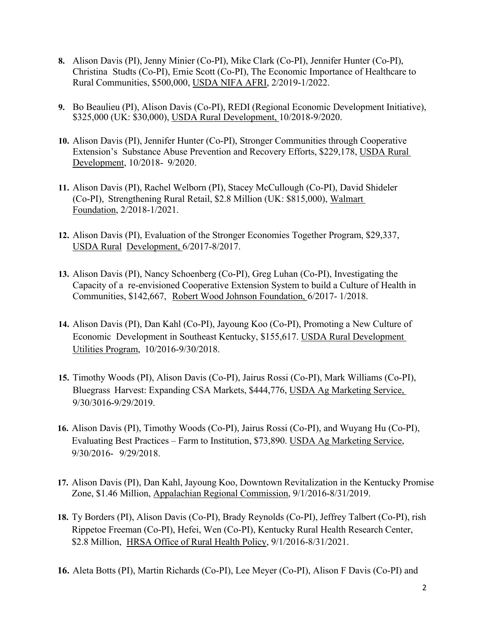- **8.** Alison Davis (PI), Jenny Minier (Co-PI), Mike Clark (Co-PI), Jennifer Hunter (Co-PI), Christina Studts (Co-PI), Ernie Scott (Co-PI), The Economic Importance of Healthcare to Rural Communities, \$500,000, USDA NIFA AFRI, 2/2019-1/2022.
- **9.** Bo Beaulieu (PI), Alison Davis (Co-PI), REDI (Regional Economic Development Initiative), \$325,000 (UK: \$30,000), USDA Rural Development, 10/2018-9/2020.
- **10.** Alison Davis (PI), Jennifer Hunter (Co-PI), Stronger Communities through Cooperative Extension's Substance Abuse Prevention and Recovery Efforts, \$229,178, USDA Rural Development, 10/2018- 9/2020.
- **11.** Alison Davis (PI), Rachel Welborn (PI), Stacey McCullough (Co-PI), David Shideler (Co-PI), Strengthening Rural Retail, \$2.8 Million (UK: \$815,000), Walmart Foundation, 2/2018-1/2021.
- **12.** Alison Davis (PI), Evaluation of the Stronger Economies Together Program, \$29,337, USDA Rural Development, 6/2017-8/2017.
- **13.** Alison Davis (PI), Nancy Schoenberg (Co-PI), Greg Luhan (Co-PI), Investigating the Capacity of a re-envisioned Cooperative Extension System to build a Culture of Health in Communities, \$142,667, Robert Wood Johnson Foundation, 6/2017- 1/2018.
- **14.** Alison Davis (PI), Dan Kahl (Co-PI), Jayoung Koo (Co-PI), Promoting a New Culture of Economic Development in Southeast Kentucky, \$155,617. USDA Rural Development Utilities Program, 10/2016-9/30/2018.
- **15.** Timothy Woods (PI), Alison Davis (Co-PI), Jairus Rossi (Co-PI), Mark Williams (Co-PI), Bluegrass Harvest: Expanding CSA Markets, \$444,776, USDA Ag Marketing Service, 9/30/3016-9/29/2019.
- **16.** Alison Davis (PI), Timothy Woods (Co-PI), Jairus Rossi (Co-PI), and Wuyang Hu (Co-PI), Evaluating Best Practices – Farm to Institution, \$73,890. USDA Ag Marketing Service, 9/30/2016- 9/29/2018.
- **17.** Alison Davis (PI), Dan Kahl, Jayoung Koo, Downtown Revitalization in the Kentucky Promise Zone, \$1.46 Million, Appalachian Regional Commission, 9/1/2016-8/31/2019.
- **18.** Ty Borders (PI), Alison Davis (Co-PI), Brady Reynolds (Co-PI), Jeffrey Talbert (Co-PI), rish Rippetoe Freeman (Co-PI), Hefei, Wen (Co-PI), Kentucky Rural Health Research Center, \$2.8 Million, HRSA Office of Rural Health Policy,  $9/1/2016 - 8/31/2021$ .
- **16.** Aleta Botts (PI), Martin Richards (Co-PI), Lee Meyer (Co-PI), Alison F Davis (Co-PI) and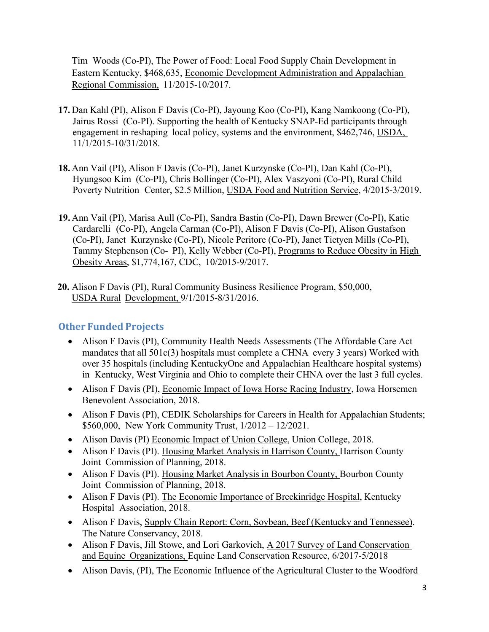Tim Woods (Co-PI), The Power of Food: Local Food Supply Chain Development in Eastern Kentucky, \$468,635, Economic Development Administration and Appalachian Regional Commission, 11/2015-10/2017.

- **17.** Dan Kahl (PI), Alison F Davis (Co-PI), Jayoung Koo (Co-PI), Kang Namkoong (Co-PI), Jairus Rossi (Co-PI). Supporting the health of Kentucky SNAP-Ed participants through engagement in reshaping local policy, systems and the environment, \$462,746, USDA, 11/1/2015-10/31/2018.
- **18.** Ann Vail (PI), Alison F Davis (Co-PI), Janet Kurzynske (Co-PI), Dan Kahl (Co-PI), Hyungsoo Kim (Co-PI), Chris Bollinger (Co-PI), Alex Vaszyoni (Co-PI), Rural Child Poverty Nutrition Center, \$2.5 Million, USDA Food and Nutrition Service, 4/2015-3/2019.
- **19.** Ann Vail (PI), Marisa Aull (Co-PI), Sandra Bastin (Co-PI), Dawn Brewer (Co-PI), Katie Cardarelli (Co-PI), Angela Carman (Co-PI), Alison F Davis (Co-PI), Alison Gustafson (Co-PI), Janet Kurzynske (Co-PI), Nicole Peritore (Co-PI), Janet Tietyen Mills (Co-PI), Tammy Stephenson (Co- PI), Kelly Webber (Co-PI), Programs to Reduce Obesity in High Obesity Areas, \$1,774,167, CDC, 10/2015-9/2017.
- **20.** Alison F Davis (PI), Rural Community Business Resilience Program, \$50,000, USDA Rural Development, 9/1/2015-8/31/2016.

# **Other Funded Projects**

- Alison F Davis (PI), Community Health Needs Assessments (The Affordable Care Act mandates that all 501c(3) hospitals must complete a CHNA every 3 years) Worked with over 35 hospitals (including KentuckyOne and Appalachian Healthcare hospital systems) in Kentucky, West Virginia and Ohio to complete their CHNA over the last 3 full cycles.
- Alison F Davis (PI), Economic Impact of Iowa Horse Racing Industry, Iowa Horsemen Benevolent Association, 2018.
- Alison F Davis (PI), CEDIK Scholarships for Careers in Health for Appalachian Students; \$560,000, New York Community Trust, 1/2012 – 12/2021.
- Alison Davis (PI) Economic Impact of Union College, Union College, 2018.
- Alison F Davis (PI). Housing Market Analysis in Harrison County, Harrison County Joint Commission of Planning, 2018.
- Alison F Davis (PI). Housing Market Analysis in Bourbon County, Bourbon County Joint Commission of Planning, 2018.
- Alison F Davis (PI). The Economic Importance of Breckinridge Hospital, Kentucky Hospital Association, 2018.
- Alison F Davis, Supply Chain Report: Corn, Soybean, Beef (Kentucky and Tennessee). The Nature Conservancy, 2018.
- Alison F Davis, Jill Stowe, and Lori Garkovich, A 2017 Survey of Land Conservation and Equine Organizations, Equine Land Conservation Resource, 6/2017-5/2018
- Alison Davis, (PI), The Economic Influence of the Agricultural Cluster to the Woodford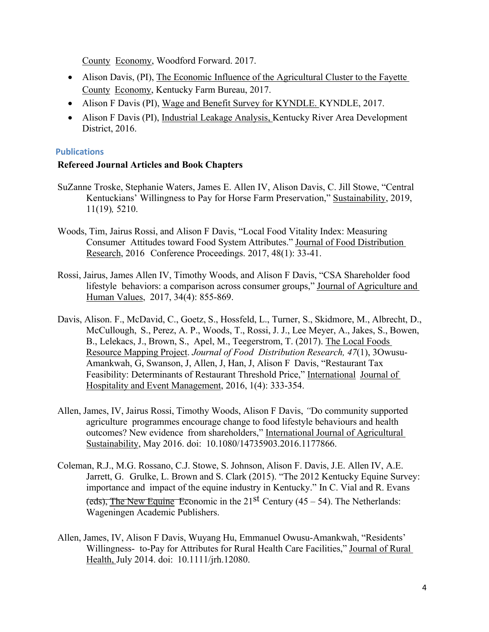County Economy, Woodford Forward. 2017.

- Alison Davis, (PI), The Economic Influence of the Agricultural Cluster to the Fayette County Economy, Kentucky Farm Bureau, 2017.
- Alison F Davis (PI), Wage and Benefit Survey for KYNDLE. KYNDLE, 2017.
- Alison F Davis (PI), Industrial Leakage Analysis, Kentucky River Area Development District, 2016.

#### **Publications**

#### **Refereed Journal Articles and Book Chapters**

- SuZanne Troske, Stephanie Waters, James E. Allen IV, Alison Davis, C. Jill Stowe, "Central Kentuckians' Willingness to Pay for Horse Farm Preservation," Sustainability, 2019, 11(19)*,* 5210.
- Woods, Tim, Jairus Rossi, and Alison F Davis, "Local Food Vitality Index: Measuring Consumer Attitudes toward Food System Attributes." Journal of Food Distribution Research, 2016 Conference Proceedings. 2017, 48(1): 33-41.
- Rossi, Jairus, James Allen IV, Timothy Woods, and Alison F Davis, "CSA Shareholder food lifestyle behaviors: a comparison across consumer groups," Journal of Agriculture and Human Values, 2017, 34(4): 855-869.
- Davis, Alison. F., McDavid, C., Goetz, S., Hossfeld, L., Turner, S., Skidmore, M., Albrecht, D., McCullough, S., Perez, A. P., Woods, T., Rossi, J. J., Lee Meyer, A., Jakes, S., Bowen, B., Lelekacs, J., Brown, S., Apel, M., Teegerstrom, T. (2017). The Local Foods Resource Mapping Project. *Journal of Food Distribution Research, 47*(1), 3Owusu-Amankwah, G, Swanson, J, Allen, J, Han, J, Alison F Davis, "Restaurant Tax Feasibility: Determinants of Restaurant Threshold Price," International Journal of Hospitality and Event Management, 2016, 1(4): 333-354.
- Allen, James, IV, Jairus Rossi, Timothy Woods, Alison F Davis, *"*Do community supported agriculture programmes encourage change to food lifestyle behaviours and health outcomes? New evidence from shareholders," International Journal of Agricultural Sustainability, May 2016. doi: 10.1080/14735903.2016.1177866.
- Coleman, R.J., M.G. Rossano, C.J. Stowe, S. Johnson, Alison F. Davis, J.E. Allen IV, A.E. Jarrett, G. Grulke, L. Brown and S. Clark (2015). "The 2012 Kentucky Equine Survey: importance and impact of the equine industry in Kentucky." In C. Vial and R. Evans (eds), The New Equine Economic in the  $21<sup>st</sup>$  Century (45 – 54). The Netherlands: Wageningen Academic Publishers.
- Allen, James, IV, Alison F Davis, Wuyang Hu, Emmanuel Owusu-Amankwah, "Residents' Willingness- to-Pay for Attributes for Rural Health Care Facilities," Journal of Rural Health, July 2014. doi: 10.1111/jrh.12080.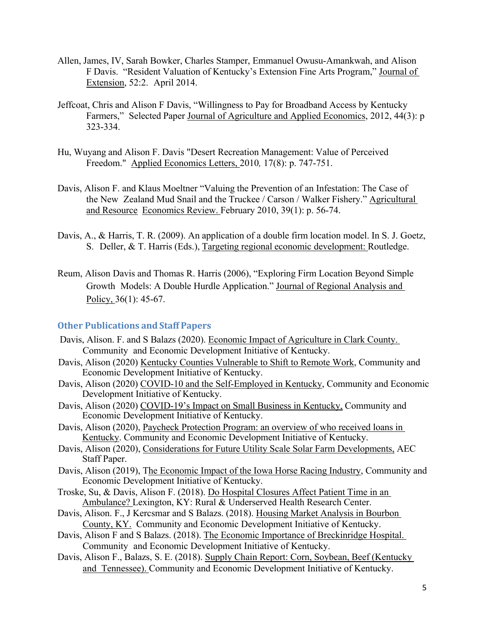- Allen, James, IV, Sarah Bowker, Charles Stamper, Emmanuel Owusu-Amankwah, and Alison F Davis. "Resident Valuation of Kentucky's Extension Fine Arts Program," Journal of Extension, 52:2. April 2014.
- Jeffcoat, Chris and Alison F Davis, "Willingness to Pay for Broadband Access by Kentucky Farmers," Selected Paper Journal of Agriculture and Applied Economics, 2012, 44(3): p 323-334.
- Hu, Wuyang and Alison F. Davis "Desert Recreation Management: Value of Perceived Freedom." Applied Economics Letters, 2010*,* 17(8): p. 747-751.
- Davis, Alison F. and Klaus Moeltner "Valuing the Prevention of an Infestation: The Case of the New Zealand Mud Snail and the Truckee / Carson / Walker Fishery." Agricultural and Resource Economics Review. February 2010, 39(1): p. 56-74.
- Davis, A., & Harris, T. R. (2009). An application of a double firm location model. In S. J. Goetz, S. Deller, & T. Harris (Eds.), Targeting regional economic development: Routledge.
- Reum, Alison Davis and Thomas R. Harris (2006), "Exploring Firm Location Beyond Simple Growth Models: A Double Hurdle Application." Journal of Regional Analysis and Policy, 36(1): 45-67.

#### **Other Publications and Staff Papers**

- Davis, Alison. F. and S Balazs (2020). Economic Impact of Agriculture in Clark County. Community and Economic Development Initiative of Kentucky.
- Davis, Alison (2020) Kentucky Counties Vulnerable to Shift to Remote Work, Community and Economic Development Initiative of Kentucky.
- Davis, Alison (2020) COVID-10 and the Self-Employed in Kentucky, Community and Economic Development Initiative of Kentucky.
- Davis, Alison (2020) COVID-19's Impact on Small Business in Kentucky, Community and Economic Development Initiative of Kentucky.
- Davis, Alison (2020), Paycheck Protection Program: an overview of who received loans in Kentucky. Community and Economic Development Initiative of Kentucky.
- Davis, Alison (2020), Considerations for Future Utility Scale Solar Farm Developments, AEC Staff Paper.
- Davis, Alison (2019), The Economic Impact of the Iowa Horse Racing Industry, Community and Economic Development Initiative of Kentucky.
- Troske, Su, & Davis, Alison F. (2018). Do Hospital Closures Affect Patient Time in an Ambulance? Lexington, KY: Rural & Underserved Health Research Center.
- Davis, Alison. F., J Kercsmar and S Balazs. (2018). Housing Market Analysis in Bourbon County, KY. Community and Economic Development Initiative of Kentucky.
- Davis, Alison F and S Balazs. (2018). The Economic Importance of Breckinridge Hospital. Community and Economic Development Initiative of Kentucky.
- Davis, Alison F., Balazs, S. E. (2018). Supply Chain Report: Corn, Soybean, Beef (Kentucky and Tennessee). Community and Economic Development Initiative of Kentucky.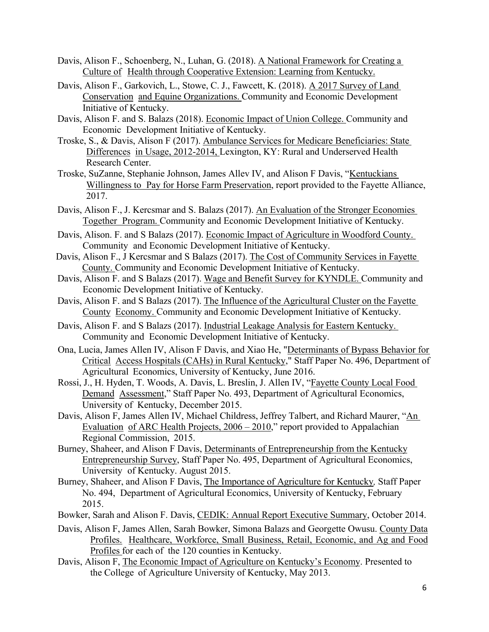- Davis, Alison F., Schoenberg, N., Luhan, G. (2018). A National Framework for Creating a Culture of Health through Cooperative Extension: Learning from Kentucky.
- Davis, Alison F., Garkovich, L., Stowe, C. J., Fawcett, K. (2018). A 2017 Survey of Land Conservation and Equine Organizations. Community and Economic Development Initiative of Kentucky.
- Davis, Alison F. and S. Balazs (2018). Economic Impact of Union College. Community and Economic Development Initiative of Kentucky.
- Troske, S., & Davis, Alison F (2017). Ambulance Services for Medicare Beneficiaries: State Differences in Usage, 2012-2014, Lexington, KY: Rural and Underserved Health Research Center.
- Troske, SuZanne, Stephanie Johnson, James Allev IV, and Alison F Davis, "Kentuckians Willingness to Pay for Horse Farm Preservation, report provided to the Fayette Alliance, 2017.
- Davis, Alison F., J. Kercsmar and S. Balazs (2017). An Evaluation of the Stronger Economies Together Program. Community and Economic Development Initiative of Kentucky.
- Davis, Alison. F. and S Balazs (2017). Economic Impact of Agriculture in Woodford County. Community and Economic Development Initiative of Kentucky.
- Davis, Alison F., J Kercsmar and S Balazs (2017). The Cost of Community Services in Fayette County. Community and Economic Development Initiative of Kentucky.
- Davis, Alison F. and S Balazs (2017). Wage and Benefit Survey for KYNDLE. Community and Economic Development Initiative of Kentucky.
- Davis, Alison F. and S Balazs (2017). The Influence of the Agricultural Cluster on the Fayette County Economy. Community and Economic Development Initiative of Kentucky.
- Davis, Alison F. and S Balazs (2017). Industrial Leakage Analysis for Eastern Kentucky. Community and Economic Development Initiative of Kentucky.
- Ona, Lucia, James Allen IV, Alison F Davis, and Xiao He, "Determinants of Bypass Behavior for Critical Access Hospitals (CAHs) in Rural Kentucky," Staff Paper No. 496, Department of Agricultural Economics, University of Kentucky, June 2016.
- Rossi, J., H. Hyden, T. Woods, A. Davis, L. Breslin, J. Allen IV, "Fayette County Local Food Demand Assessment," Staff Paper No. 493, Department of Agricultural Economics, University of Kentucky, December 2015.
- Davis, Alison F, James Allen IV, Michael Childress, Jeffrey Talbert, and Richard Maurer, "An Evaluation of ARC Health Projects, 2006 – 2010," report provided to Appalachian Regional Commission, 2015.
- Burney, Shaheer, and Alison F Davis, Determinants of Entrepreneurship from the Kentucky Entrepreneurship Survey, Staff Paper No. 495, Department of Agricultural Economics, University of Kentucky. August 2015.
- Burney, Shaheer, and Alison F Davis, The Importance of Agriculture for Kentucky*,* Staff Paper No. 494, Department of Agricultural Economics, University of Kentucky, February 2015.
- Bowker, Sarah and Alison F. Davis, CEDIK: Annual Report Executive Summary, October 2014.
- Davis, Alison F, James Allen, Sarah Bowker, Simona Balazs and Georgette Owusu. County Data Profiles. Healthcare, Workforce, Small Business, Retail, Economic, and Ag and Food Profiles for each of the 120 counties in Kentucky.
- Davis, Alison F, The Economic Impact of Agriculture on Kentucky's Economy. Presented to the College of Agriculture University of Kentucky, May 2013.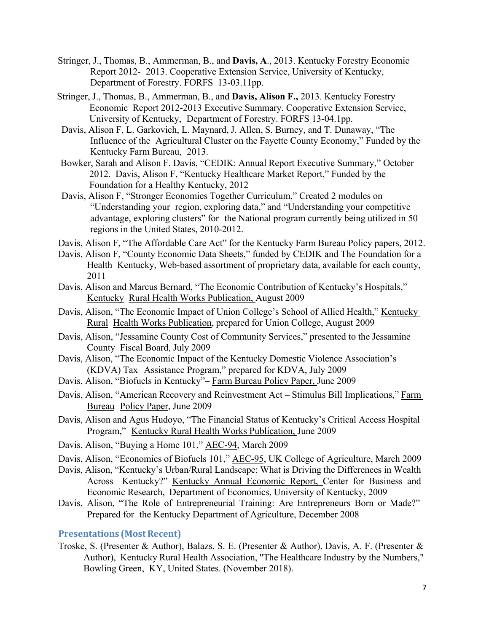- Stringer, J., Thomas, B., Ammerman, B., and **Davis, A**., 2013. Kentucky Forestry Economic Report 2012- 2013. Cooperative Extension Service, University of Kentucky, Department of Forestry. FORFS 13-03.11pp.
- Stringer, J., Thomas, B., Ammerman, B., and **Davis, Alison F.,** 2013. Kentucky Forestry Economic Report 2012-2013 Executive Summary. Cooperative Extension Service, University of Kentucky, Department of Forestry. FORFS 13-04.1pp.
- Davis, Alison F, L. Garkovich, L. Maynard, J. Allen, S. Burney, and T. Dunaway, "The Influence of the Agricultural Cluster on the Fayette County Economy," Funded by the Kentucky Farm Bureau, 2013.
- Bowker, Sarah and Alison F. Davis, "CEDIK: Annual Report Executive Summary," October 2012. Davis, Alison F, "Kentucky Healthcare Market Report," Funded by the Foundation for a Healthy Kentucky, 2012
- Davis, Alison F, "Stronger Economies Together Curriculum," Created 2 modules on "Understanding your region, exploring data," and "Understanding your competitive advantage, exploring clusters" for the National program currently being utilized in 50 regions in the United States, 2010-2012.
- Davis, Alison F, "The Affordable Care Act" for the Kentucky Farm Bureau Policy papers, 2012.
- Davis, Alison F, "County Economic Data Sheets," funded by CEDIK and The Foundation for a Health Kentucky, Web-based assortment of proprietary data, available for each county, 2011
- Davis, Alison and Marcus Bernard, "The Economic Contribution of Kentucky's Hospitals," Kentucky Rural Health Works Publication, August 2009
- Davis, Alison, "The Economic Impact of Union College's School of Allied Health," Kentucky Rural Health Works Publication, prepared for Union College, August 2009
- Davis, Alison, "Jessamine County Cost of Community Services," presented to the Jessamine County Fiscal Board, July 2009
- Davis, Alison, "The Economic Impact of the Kentucky Domestic Violence Association's (KDVA) Tax Assistance Program," prepared for KDVA, July 2009
- Davis, Alison, "Biofuels in Kentucky"– Farm Bureau Policy Paper, June 2009
- Davis, Alison, "American Recovery and Reinvestment Act Stimulus Bill Implications," Farm Bureau Policy Paper, June 2009
- Davis, Alison and Agus Hudoyo, "The Financial Status of Kentucky's Critical Access Hospital Program," Kentucky Rural Health Works Publication, June 2009
- Davis, Alison, "Buying a Home 101," AEC-94, March 2009
- Davis, Alison, "Economics of Biofuels 101," AEC-95, UK College of Agriculture, March 2009
- Davis, Alison, "Kentucky's Urban/Rural Landscape: What is Driving the Differences in Wealth Across Kentucky?" Kentucky Annual Economic Report, Center for Business and Economic Research, Department of Economics, University of Kentucky, 2009
- Davis, Alison, "The Role of Entrepreneurial Training: Are Entrepreneurs Born or Made?" Prepared for the Kentucky Department of Agriculture, December 2008

#### **Presentations (MostRecent)**

Troske, S. (Presenter & Author), Balazs, S. E. (Presenter & Author), Davis, A. F. (Presenter & Author), Kentucky Rural Health Association, "The Healthcare Industry by the Numbers," Bowling Green, KY, United States. (November 2018).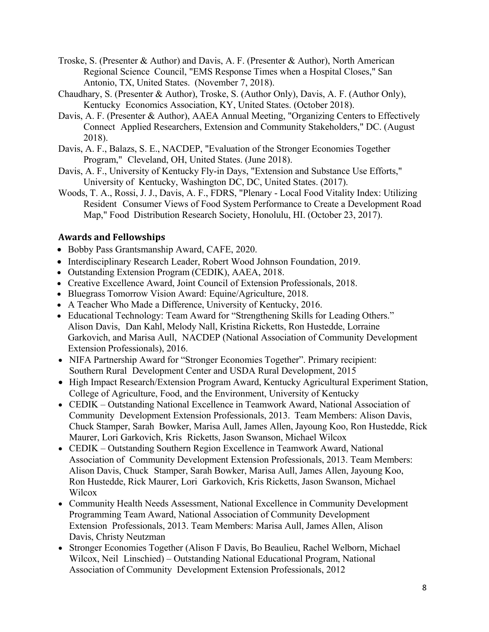- Troske, S. (Presenter & Author) and Davis, A. F. (Presenter & Author), North American Regional Science Council, "EMS Response Times when a Hospital Closes," San Antonio, TX, United States. (November 7, 2018).
- Chaudhary, S. (Presenter & Author), Troske, S. (Author Only), Davis, A. F. (Author Only), Kentucky Economics Association, KY, United States. (October 2018).
- Davis, A. F. (Presenter & Author), AAEA Annual Meeting, "Organizing Centers to Effectively Connect Applied Researchers, Extension and Community Stakeholders," DC. (August 2018).
- Davis, A. F., Balazs, S. E., NACDEP, "Evaluation of the Stronger Economies Together Program," Cleveland, OH, United States. (June 2018).
- Davis, A. F., University of Kentucky Fly-in Days, "Extension and Substance Use Efforts," University of Kentucky, Washington DC, DC, United States. (2017).
- Woods, T. A., Rossi, J. J., Davis, A. F., FDRS, "Plenary Local Food Vitality Index: Utilizing Resident Consumer Views of Food System Performance to Create a Development Road Map," Food Distribution Research Society, Honolulu, HI. (October 23, 2017).

### **Awards and Fellowships**

- Bobby Pass Grantsmanship Award, CAFE, 2020.
- Interdisciplinary Research Leader, Robert Wood Johnson Foundation, 2019.
- Outstanding Extension Program (CEDIK), AAEA, 2018.
- Creative Excellence Award, Joint Council of Extension Professionals, 2018.
- Bluegrass Tomorrow Vision Award: Equine/Agriculture, 2018.
- A Teacher Who Made a Difference, University of Kentucky, 2016.
- Educational Technology: Team Award for "Strengthening Skills for Leading Others." Alison Davis, Dan Kahl, Melody Nall, Kristina Ricketts, Ron Hustedde, Lorraine Garkovich, and Marisa Aull, NACDEP (National Association of Community Development Extension Professionals), 2016.
- NIFA Partnership Award for "Stronger Economies Together". Primary recipient: Southern Rural Development Center and USDA Rural Development, 2015
- High Impact Research/Extension Program Award, Kentucky Agricultural Experiment Station, College of Agriculture, Food, and the Environment, University of Kentucky
- CEDIK Outstanding National Excellence in Teamwork Award, National Association of Community Development Extension Professionals, 2013. Team Members: Alison Davis, Chuck Stamper, Sarah Bowker, Marisa Aull, James Allen, Jayoung Koo, Ron Hustedde, Rick Maurer, Lori Garkovich, Kris Ricketts, Jason Swanson, Michael Wilcox
- CEDIK Outstanding Southern Region Excellence in Teamwork Award, National Association of Community Development Extension Professionals, 2013. Team Members: Alison Davis, Chuck Stamper, Sarah Bowker, Marisa Aull, James Allen, Jayoung Koo, Ron Hustedde, Rick Maurer, Lori Garkovich, Kris Ricketts, Jason Swanson, Michael Wilcox
- Community Health Needs Assessment, National Excellence in Community Development Programming Team Award, National Association of Community Development Extension Professionals, 2013. Team Members: Marisa Aull, James Allen, Alison Davis, Christy Neutzman
- Stronger Economies Together (Alison F Davis, Bo Beaulieu, Rachel Welborn, Michael Wilcox, Neil Linschied) – Outstanding National Educational Program, National Association of Community Development Extension Professionals, 2012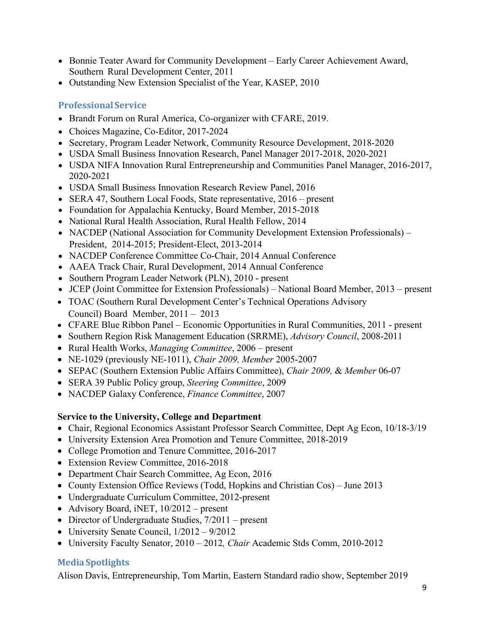- Bonnie Teater Award for Community Development Early Career Achievement Award, Southern Rural Development Center, 2011
- Outstanding New Extension Specialist of the Year, KASEP, 2010

### **ProfessionalService**

- Brandt Forum on Rural America, Co-organizer with CFARE, 2019.
- Choices Magazine, Co-Editor, 2017-2024
- Secretary, Program Leader Network, Community Resource Development, 2018-2020
- USDA Small Business Innovation Research, Panel Manager 2017-2018, 2020-2021
- USDA NIFA Innovation Rural Entrepreneurship and Communities Panel Manager, 2016-2017, 2020-2021
- USDA Small Business Innovation Research Review Panel, 2016
- SERA 47, Southern Local Foods, State representative, 2016 present
- Foundation for Appalachia Kentucky, Board Member, 2015-2018
- National Rural Health Association, Rural Health Fellow, 2014
- NACDEP (National Association for Community Development Extension Professionals) President, 2014-2015; President-Elect, 2013-2014
- NACDEP Conference Committee Co-Chair, 2014 Annual Conference
- AAEA Track Chair, Rural Development, 2014 Annual Conference
- Southern Program Leader Network (PLN), 2010 present
- JCEP (Joint Committee for Extension Professionals) National Board Member, 2013 present
- TOAC (Southern Rural Development Center's Technical Operations Advisory Council) Board Member, 2011 – 2013
- CFARE Blue Ribbon Panel Economic Opportunities in Rural Communities, 2011 present
- Southern Region Risk Management Education (SRRME), *Advisory Council*, 2008-2011
- Rural Health Works, *Managing Committee*, 2006 present
- NE-1029 (previously NE-1011), *Chair 2009, Member* 2005-2007
- SEPAC (Southern Extension Public Affairs Committee), *Chair 2009,* & *Member* 06-07
- SERA 39 Public Policy group, *Steering Committee*, 2009
- NACDEP Galaxy Conference, *Finance Committee*, 2007

### **Service to the University, College and Department**

- Chair, Regional Economics Assistant Professor Search Committee, Dept Ag Econ, 10/18-3/19
- University Extension Area Promotion and Tenure Committee, 2018-2019
- College Promotion and Tenure Committee, 2016-2017
- Extension Review Committee, 2016-2018
- Department Chair Search Committee, Ag Econ, 2016
- County Extension Office Reviews (Todd, Hopkins and Christian Cos) June 2013
- Undergraduate Curriculum Committee, 2012-present
- Advisory Board, iNET,  $10/2012$  present
- Director of Undergraduate Studies,  $7/2011$  present
- University Senate Council,  $1/2012 9/2012$
- University Faculty Senator, 2010 2012*, Chair* Academic Stds Comm, 2010-2012

## **MediaSpotlights**

Alison Davis, Entrepreneurship, Tom Martin, Eastern Standard radio show, September 2019